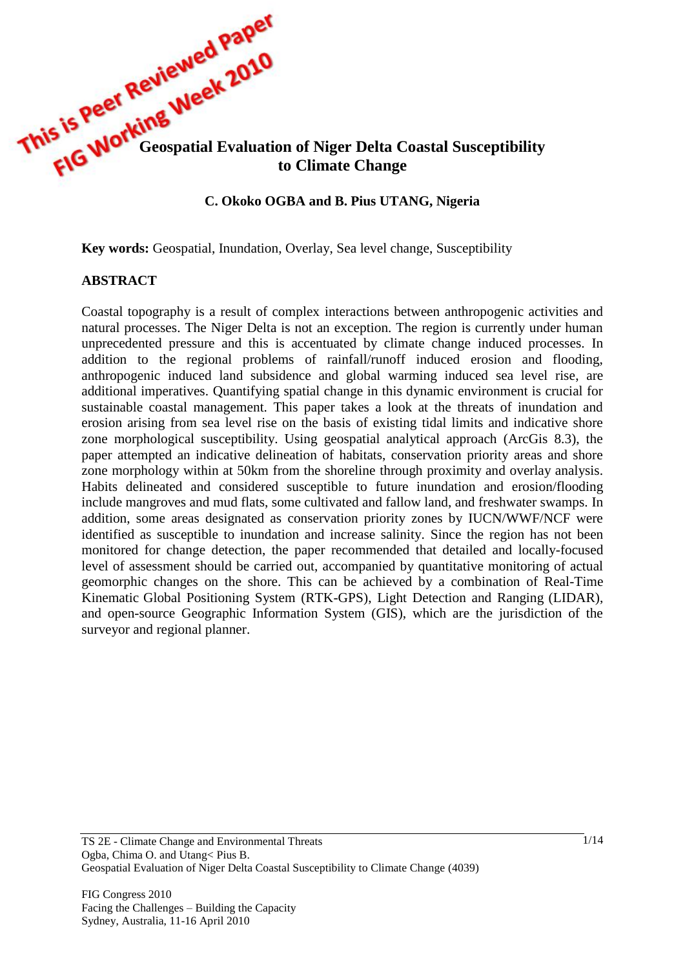

## **C. Okoko OGBA and B. Pius UTANG, Nigeria**

**Key words:** Geospatial, Inundation, Overlay, Sea level change, Susceptibility

## **ABSTRACT**

Coastal topography is a result of complex interactions between anthropogenic activities and natural processes. The Niger Delta is not an exception. The region is currently under human unprecedented pressure and this is accentuated by climate change induced processes. In addition to the regional problems of rainfall/runoff induced erosion and flooding, anthropogenic induced land subsidence and global warming induced sea level rise, are additional imperatives. Quantifying spatial change in this dynamic environment is crucial for sustainable coastal management. This paper takes a look at the threats of inundation and erosion arising from sea level rise on the basis of existing tidal limits and indicative shore zone morphological susceptibility. Using geospatial analytical approach (ArcGis 8.3), the paper attempted an indicative delineation of habitats, conservation priority areas and shore zone morphology within at 50km from the shoreline through proximity and overlay analysis. Habits delineated and considered susceptible to future inundation and erosion/flooding include mangroves and mud flats, some cultivated and fallow land, and freshwater swamps. In addition, some areas designated as conservation priority zones by IUCN/WWF/NCF were identified as susceptible to inundation and increase salinity. Since the region has not been monitored for change detection, the paper recommended that detailed and locally-focused level of assessment should be carried out, accompanied by quantitative monitoring of actual geomorphic changes on the shore. This can be achieved by a combination of Real-Time Kinematic Global Positioning System (RTK-GPS), Light Detection and Ranging (LIDAR), and open-source Geographic Information System (GIS), which are the jurisdiction of the surveyor and regional planner.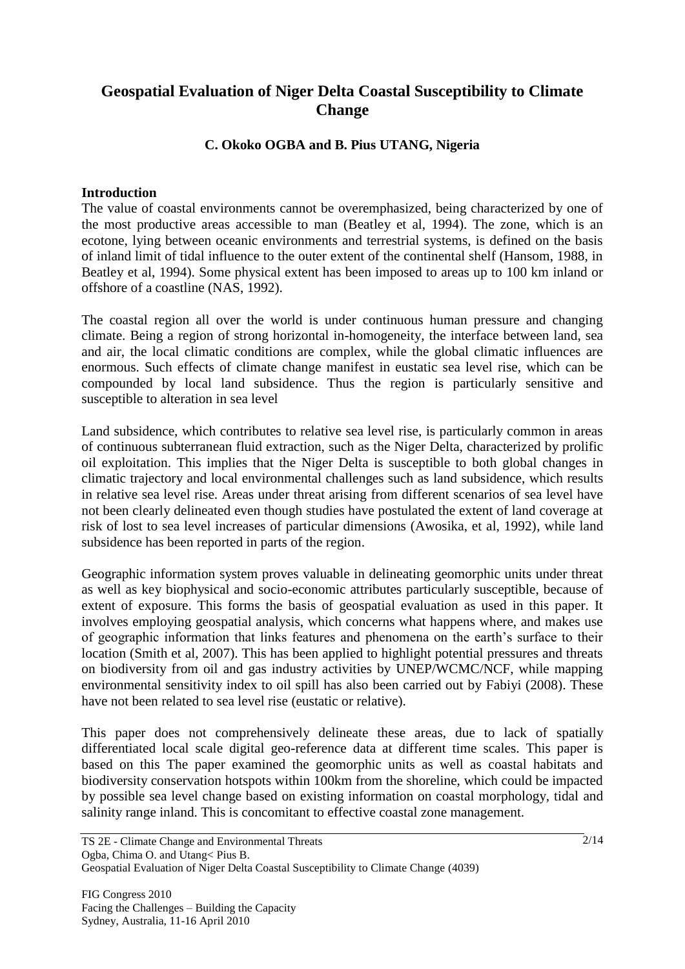# **Geospatial Evaluation of Niger Delta Coastal Susceptibility to Climate Change**

# **C. Okoko OGBA and B. Pius UTANG, Nigeria**

## **Introduction**

The value of coastal environments cannot be overemphasized, being characterized by one of the most productive areas accessible to man (Beatley et al, 1994). The zone, which is an ecotone, lying between oceanic environments and terrestrial systems, is defined on the basis of inland limit of tidal influence to the outer extent of the continental shelf (Hansom, 1988, in Beatley et al, 1994). Some physical extent has been imposed to areas up to 100 km inland or offshore of a coastline (NAS, 1992).

The coastal region all over the world is under continuous human pressure and changing climate. Being a region of strong horizontal in-homogeneity, the interface between land, sea and air, the local climatic conditions are complex, while the global climatic influences are enormous. Such effects of climate change manifest in eustatic sea level rise, which can be compounded by local land subsidence. Thus the region is particularly sensitive and susceptible to alteration in sea level

Land subsidence, which contributes to relative sea level rise, is particularly common in areas of continuous subterranean fluid extraction, such as the Niger Delta, characterized by prolific oil exploitation. This implies that the Niger Delta is susceptible to both global changes in climatic trajectory and local environmental challenges such as land subsidence, which results in relative sea level rise. Areas under threat arising from different scenarios of sea level have not been clearly delineated even though studies have postulated the extent of land coverage at risk of lost to sea level increases of particular dimensions (Awosika, et al, 1992), while land subsidence has been reported in parts of the region.

Geographic information system proves valuable in delineating geomorphic units under threat as well as key biophysical and socio-economic attributes particularly susceptible, because of extent of exposure. This forms the basis of geospatial evaluation as used in this paper. It involves employing geospatial analysis, which concerns what happens where, and makes use of geographic information that links features and phenomena on the earth's surface to their location (Smith et al, 2007). This has been applied to highlight potential pressures and threats on biodiversity from oil and gas industry activities by UNEP/WCMC/NCF, while mapping environmental sensitivity index to oil spill has also been carried out by Fabiyi (2008). These have not been related to sea level rise (eustatic or relative).

This paper does not comprehensively delineate these areas, due to lack of spatially differentiated local scale digital geo-reference data at different time scales. This paper is based on this The paper examined the geomorphic units as well as coastal habitats and biodiversity conservation hotspots within 100km from the shoreline, which could be impacted by possible sea level change based on existing information on coastal morphology, tidal and salinity range inland. This is concomitant to effective coastal zone management.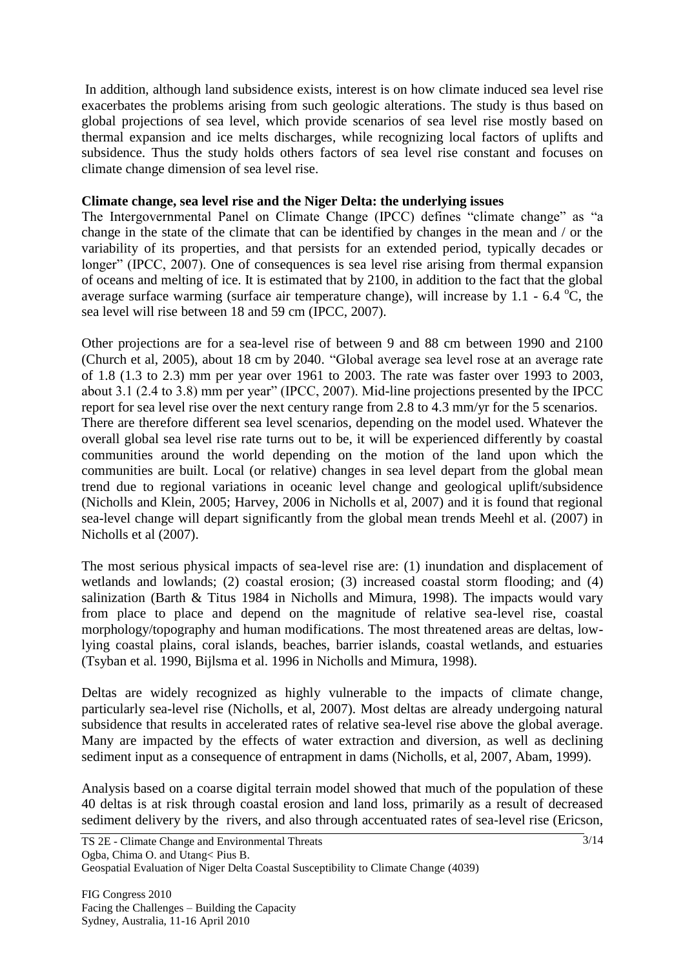In addition, although land subsidence exists, interest is on how climate induced sea level rise exacerbates the problems arising from such geologic alterations. The study is thus based on global projections of sea level, which provide scenarios of sea level rise mostly based on thermal expansion and ice melts discharges, while recognizing local factors of uplifts and subsidence. Thus the study holds others factors of sea level rise constant and focuses on climate change dimension of sea level rise.

## **Climate change, sea level rise and the Niger Delta: the underlying issues**

The Intergovernmental Panel on Climate Change (IPCC) defines "climate change" as "a change in the state of the climate that can be identified by changes in the mean and / or the variability of its properties, and that persists for an extended period, typically decades or longer" (IPCC, 2007). One of consequences is sea level rise arising from thermal expansion of oceans and melting of ice. It is estimated that by 2100, in addition to the fact that the global average surface warming (surface air temperature change), will increase by 1.1 - 6.4  $^{\circ}$ C, the sea level will rise between 18 and 59 cm (IPCC, 2007).

Other projections are for a sea-level rise of between 9 and 88 cm between 1990 and 2100 (Church et al, 2005), about 18 cm by 2040. "Global average sea level rose at an average rate of 1.8 (1.3 to 2.3) mm per year over 1961 to 2003. The rate was faster over 1993 to 2003, about 3.1 (2.4 to 3.8) mm per year" (IPCC, 2007). Mid-line projections presented by the IPCC report for sea level rise over the next century range from 2.8 to 4.3 mm/yr for the 5 scenarios. There are therefore different sea level scenarios, depending on the model used. Whatever the overall global sea level rise rate turns out to be, it will be experienced differently by coastal communities around the world depending on the motion of the land upon which the communities are built. Local (or relative) changes in sea level depart from the global mean trend due to regional variations in oceanic level change and geological uplift/subsidence (Nicholls and Klein, 2005; Harvey, 2006 in Nicholls et al, 2007) and it is found that regional sea-level change will depart significantly from the global mean trends Meehl et al. (2007) in Nicholls et al (2007).

The most serious physical impacts of sea-level rise are: (1) inundation and displacement of wetlands and lowlands; (2) coastal erosion; (3) increased coastal storm flooding; and (4) salinization (Barth & Titus 1984 in Nicholls and Mimura, 1998). The impacts would vary from place to place and depend on the magnitude of relative sea-level rise, coastal morphology/topography and human modifications. The most threatened areas are deltas, lowlying coastal plains, coral islands, beaches, barrier islands, coastal wetlands, and estuaries (Tsyban et al. 1990, Bijlsma et al. 1996 in Nicholls and Mimura, 1998).

Deltas are widely recognized as highly vulnerable to the impacts of climate change, particularly sea-level rise (Nicholls, et al, 2007). Most deltas are already undergoing natural subsidence that results in accelerated rates of relative sea-level rise above the global average. Many are impacted by the effects of water extraction and diversion, as well as declining sediment input as a consequence of entrapment in dams (Nicholls, et al, 2007, Abam, 1999).

Analysis based on a coarse digital terrain model showed that much of the population of these 40 deltas is at risk through coastal erosion and land loss, primarily as a result of decreased sediment delivery by the rivers, and also through accentuated rates of sea-level rise (Ericson,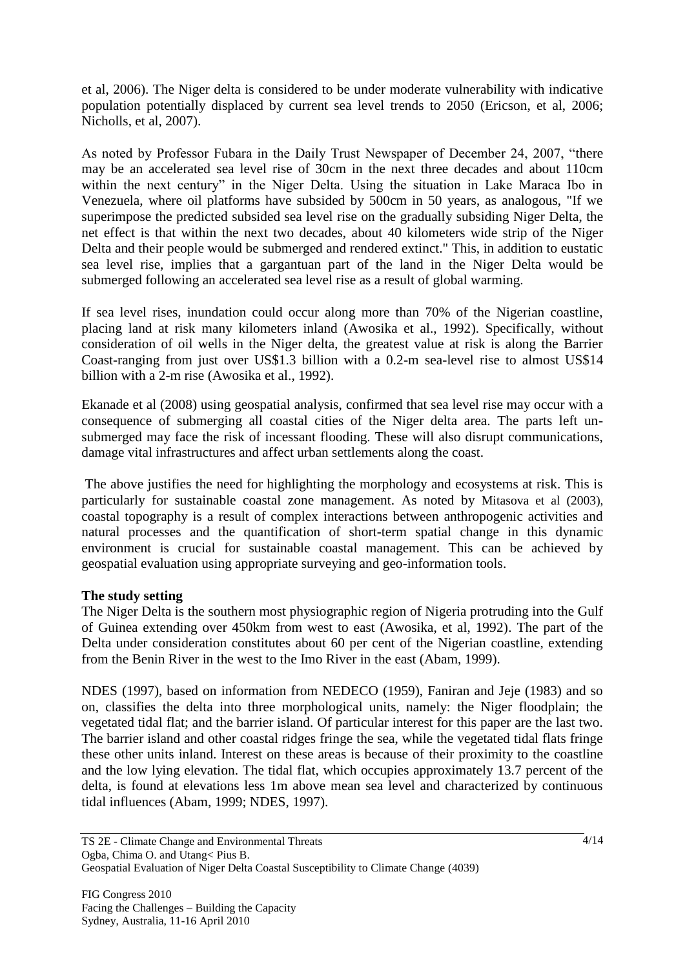et al, 2006). The Niger delta is considered to be under moderate vulnerability with indicative population potentially displaced by current sea level trends to 2050 (Ericson, et al, 2006; Nicholls, et al, 2007).

As noted by Professor Fubara in the Daily Trust Newspaper of December 24, 2007, "there may be an accelerated sea level rise of 30cm in the next three decades and about 110cm within the next century" in the Niger Delta. Using the situation in Lake Maraca Ibo in Venezuela, where oil platforms have subsided by 500cm in 50 years, as analogous, "If we superimpose the predicted subsided sea level rise on the gradually subsiding Niger Delta, the net effect is that within the next two decades, about 40 kilometers wide strip of the Niger Delta and their people would be submerged and rendered extinct." This, in addition to eustatic sea level rise, implies that a gargantuan part of the land in the Niger Delta would be submerged following an accelerated sea level rise as a result of global warming.

If sea level rises, inundation could occur along more than 70% of the Nigerian coastline, placing land at risk many kilometers inland (Awosika et al., 1992). Specifically, without consideration of oil wells in the Niger delta, the greatest value at risk is along the Barrier Coast-ranging from just over US\$1.3 billion with a 0.2-m sea-level rise to almost US\$14 billion with a 2-m rise (Awosika et al., 1992).

Ekanade et al (2008) using geospatial analysis, confirmed that sea level rise may occur with a consequence of submerging all coastal cities of the Niger delta area. The parts left unsubmerged may face the risk of incessant flooding. These will also disrupt communications, damage vital infrastructures and affect urban settlements along the coast.

The above justifies the need for highlighting the morphology and ecosystems at risk. This is particularly for sustainable coastal zone management. As noted by Mitasova et al (2003), coastal topography is a result of complex interactions between anthropogenic activities and natural processes and the quantification of short-term spatial change in this dynamic environment is crucial for sustainable coastal management. This can be achieved by geospatial evaluation using appropriate surveying and geo-information tools.

# **The study setting**

The Niger Delta is the southern most physiographic region of Nigeria protruding into the Gulf of Guinea extending over 450km from west to east (Awosika, et al, 1992). The part of the Delta under consideration constitutes about 60 per cent of the Nigerian coastline, extending from the Benin River in the west to the Imo River in the east (Abam, 1999).

NDES (1997), based on information from NEDECO (1959), Faniran and Jeje (1983) and so on, classifies the delta into three morphological units, namely: the Niger floodplain; the vegetated tidal flat; and the barrier island. Of particular interest for this paper are the last two. The barrier island and other coastal ridges fringe the sea, while the vegetated tidal flats fringe these other units inland. Interest on these areas is because of their proximity to the coastline and the low lying elevation. The tidal flat, which occupies approximately 13.7 percent of the delta, is found at elevations less 1m above mean sea level and characterized by continuous tidal influences (Abam, 1999; NDES, 1997).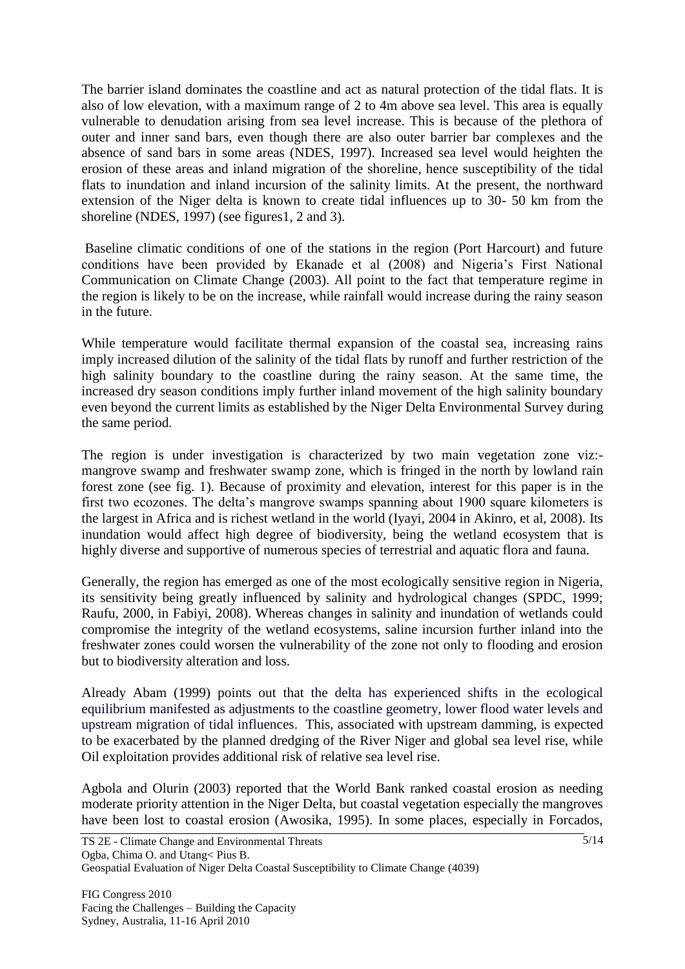The barrier island dominates the coastline and act as natural protection of the tidal flats. It is also of low elevation, with a maximum range of 2 to 4m above sea level. This area is equally vulnerable to denudation arising from sea level increase. This is because of the plethora of outer and inner sand bars, even though there are also outer barrier bar complexes and the absence of sand bars in some areas (NDES, 1997). Increased sea level would heighten the erosion of these areas and inland migration of the shoreline, hence susceptibility of the tidal flats to inundation and inland incursion of the salinity limits. At the present, the northward extension of the Niger delta is known to create tidal influences up to 30- 50 km from the shoreline (NDES, 1997) (see figures1, 2 and 3).

Baseline climatic conditions of one of the stations in the region (Port Harcourt) and future conditions have been provided by Ekanade et al (2008) and Nigeria's First National Communication on Climate Change (2003). All point to the fact that temperature regime in the region is likely to be on the increase, while rainfall would increase during the rainy season in the future.

While temperature would facilitate thermal expansion of the coastal sea, increasing rains imply increased dilution of the salinity of the tidal flats by runoff and further restriction of the high salinity boundary to the coastline during the rainy season. At the same time, the increased dry season conditions imply further inland movement of the high salinity boundary even beyond the current limits as established by the Niger Delta Environmental Survey during the same period.

The region is under investigation is characterized by two main vegetation zone viz: mangrove swamp and freshwater swamp zone, which is fringed in the north by lowland rain forest zone (see fig. 1). Because of proximity and elevation, interest for this paper is in the first two ecozones. The delta's mangrove swamps spanning about 1900 square kilometers is the largest in Africa and is richest wetland in the world (Iyayi, 2004 in Akinro, et al, 2008). Its inundation would affect high degree of biodiversity, being the wetland ecosystem that is highly diverse and supportive of numerous species of terrestrial and aquatic flora and fauna.

Generally, the region has emerged as one of the most ecologically sensitive region in Nigeria, its sensitivity being greatly influenced by salinity and hydrological changes (SPDC, 1999; Raufu, 2000, in Fabiyi, 2008). Whereas changes in salinity and inundation of wetlands could compromise the integrity of the wetland ecosystems, saline incursion further inland into the freshwater zones could worsen the vulnerability of the zone not only to flooding and erosion but to biodiversity alteration and loss.

Already Abam (1999) points out that the delta has experienced shifts in the ecological equilibrium manifested as adjustments to the coastline geometry, lower flood water levels and upstream migration of tidal influences. This, associated with upstream damming, is expected to be exacerbated by the planned dredging of the River Niger and global sea level rise, while Oil exploitation provides additional risk of relative sea level rise.

Agbola and Olurin (2003) reported that the World Bank ranked coastal erosion as needing moderate priority attention in the Niger Delta, but coastal vegetation especially the mangroves have been lost to coastal erosion (Awosika, 1995). In some places, especially in Forcados,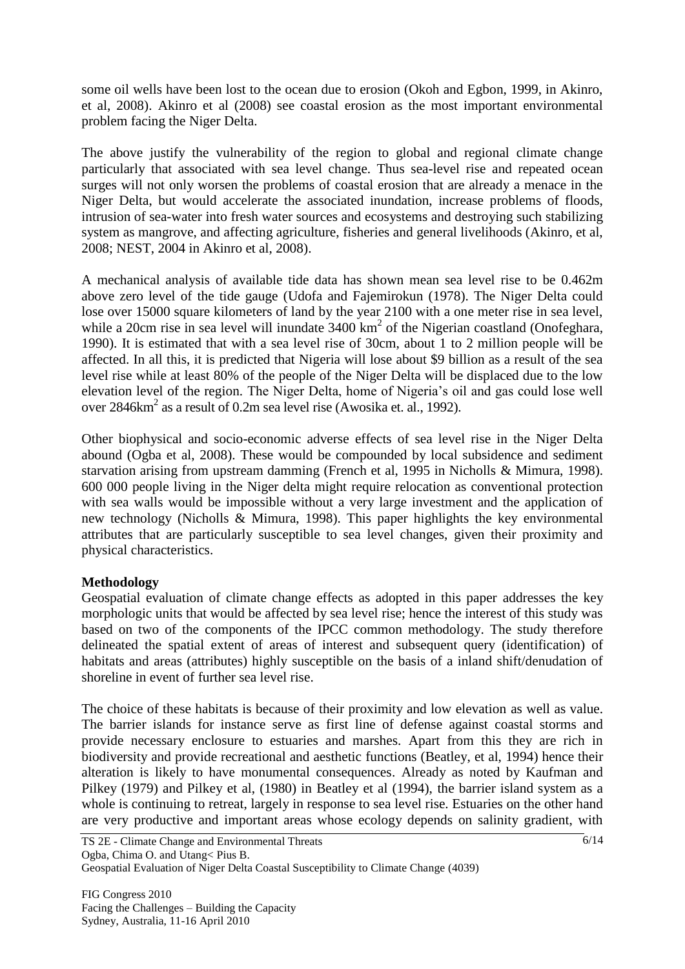some oil wells have been lost to the ocean due to erosion (Okoh and Egbon, 1999, in Akinro, et al, 2008). Akinro et al (2008) see coastal erosion as the most important environmental problem facing the Niger Delta.

The above justify the vulnerability of the region to global and regional climate change particularly that associated with sea level change. Thus sea-level rise and repeated ocean surges will not only worsen the problems of coastal erosion that are already a menace in the Niger Delta, but would accelerate the associated inundation, increase problems of floods, intrusion of sea-water into fresh water sources and ecosystems and destroying such stabilizing system as mangrove, and affecting agriculture, fisheries and general livelihoods (Akinro, et al, 2008; NEST, 2004 in Akinro et al, 2008).

A mechanical analysis of available tide data has shown mean sea level rise to be 0.462m above zero level of the tide gauge (Udofa and Fajemirokun (1978). The Niger Delta could lose over 15000 square kilometers of land by the year 2100 with a one meter rise in sea level, while a 20cm rise in sea level will inundate  $3400 \text{ km}^2$  of the Nigerian coastland (Onofeghara, 1990). It is estimated that with a sea level rise of 30cm, about 1 to 2 million people will be affected. In all this, it is predicted that Nigeria will lose about \$9 billion as a result of the sea level rise while at least 80% of the people of the Niger Delta will be displaced due to the low elevation level of the region. The Niger Delta, home of Nigeria's oil and gas could lose well over 2846km<sup>2</sup> as a result of 0.2m sea level rise (Awosika et. al., 1992).

Other biophysical and socio-economic adverse effects of sea level rise in the Niger Delta abound (Ogba et al, 2008). These would be compounded by local subsidence and sediment starvation arising from upstream damming (French et al, 1995 in Nicholls & Mimura, 1998). 600 000 people living in the Niger delta might require relocation as conventional protection with sea walls would be impossible without a very large investment and the application of new technology (Nicholls & Mimura, 1998). This paper highlights the key environmental attributes that are particularly susceptible to sea level changes, given their proximity and physical characteristics.

# **Methodology**

Geospatial evaluation of climate change effects as adopted in this paper addresses the key morphologic units that would be affected by sea level rise; hence the interest of this study was based on two of the components of the IPCC common methodology. The study therefore delineated the spatial extent of areas of interest and subsequent query (identification) of habitats and areas (attributes) highly susceptible on the basis of a inland shift/denudation of shoreline in event of further sea level rise.

The choice of these habitats is because of their proximity and low elevation as well as value. The barrier islands for instance serve as first line of defense against coastal storms and provide necessary enclosure to estuaries and marshes. Apart from this they are rich in biodiversity and provide recreational and aesthetic functions (Beatley, et al, 1994) hence their alteration is likely to have monumental consequences. Already as noted by Kaufman and Pilkey (1979) and Pilkey et al, (1980) in Beatley et al (1994), the barrier island system as a whole is continuing to retreat, largely in response to sea level rise. Estuaries on the other hand are very productive and important areas whose ecology depends on salinity gradient, with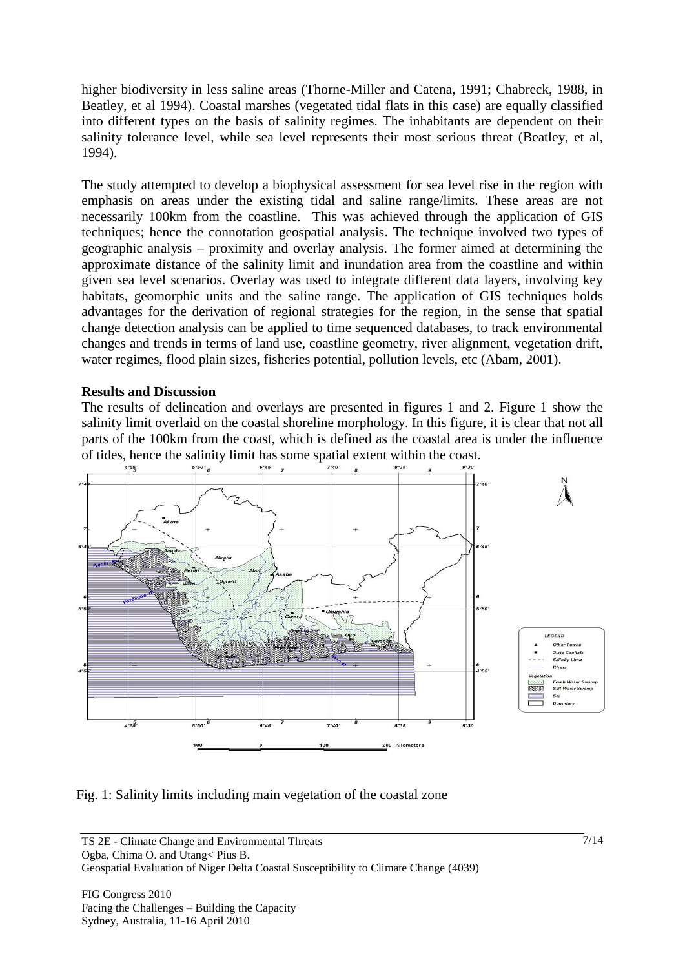higher biodiversity in less saline areas (Thorne-Miller and Catena, 1991; Chabreck, 1988, in Beatley, et al 1994). Coastal marshes (vegetated tidal flats in this case) are equally classified into different types on the basis of salinity regimes. The inhabitants are dependent on their salinity tolerance level, while sea level represents their most serious threat (Beatley, et al, 1994).

The study attempted to develop a biophysical assessment for sea level rise in the region with emphasis on areas under the existing tidal and saline range/limits. These areas are not necessarily 100km from the coastline. This was achieved through the application of GIS techniques; hence the connotation geospatial analysis. The technique involved two types of geographic analysis – proximity and overlay analysis. The former aimed at determining the approximate distance of the salinity limit and inundation area from the coastline and within given sea level scenarios. Overlay was used to integrate different data layers, involving key habitats, geomorphic units and the saline range. The application of GIS techniques holds advantages for the derivation of regional strategies for the region, in the sense that spatial change detection analysis can be applied to time sequenced databases, to track environmental changes and trends in terms of land use, coastline geometry, river alignment, vegetation drift, water regimes, flood plain sizes, fisheries potential, pollution levels, etc (Abam, 2001).

## **Results and Discussion**

The results of delineation and overlays are presented in figures 1 and 2. Figure 1 show the salinity limit overlaid on the coastal shoreline morphology. In this figure, it is clear that not all parts of the 100km from the coast, which is defined as the coastal area is under the influence of tides, hence the salinity limit has some spatial extent within the coast.



Fig. 1: Salinity limits including main vegetation of the coastal zone

Geospatial Evaluation of Niger Delta Coastal Susceptibility to Climate Change (4039)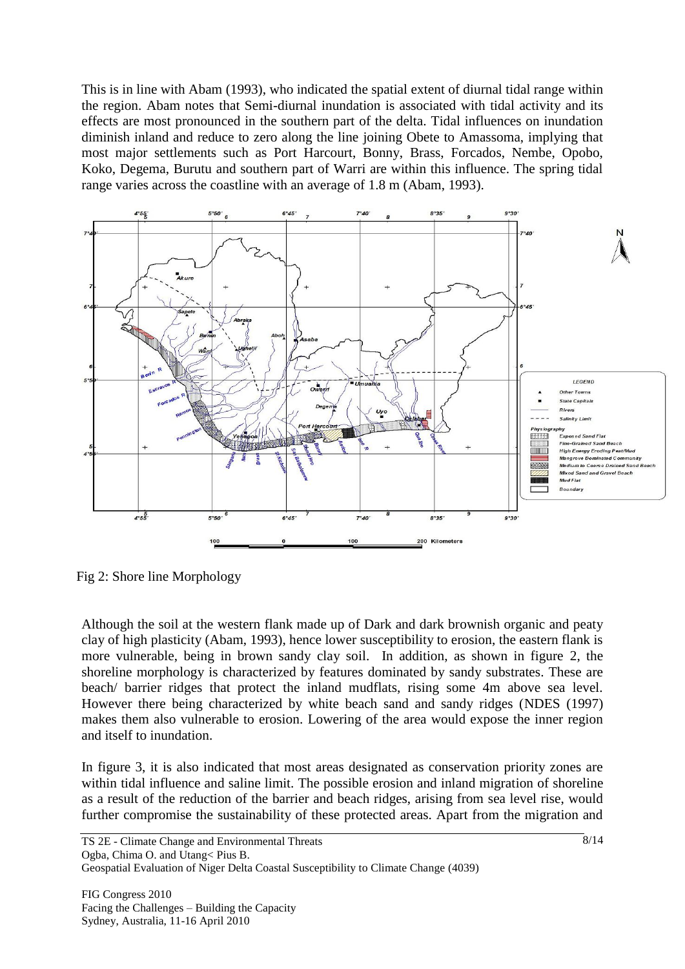This is in line with Abam (1993), who indicated the spatial extent of diurnal tidal range within the region. Abam notes that Semi-diurnal inundation is associated with tidal activity and its effects are most pronounced in the southern part of the delta. Tidal influences on inundation diminish inland and reduce to zero along the line joining Obete to Amassoma, implying that most major settlements such as Port Harcourt, Bonny, Brass, Forcados, Nembe, Opobo, Koko, Degema, Burutu and southern part of Warri are within this influence. The spring tidal range varies across the coastline with an average of 1.8 m (Abam, 1993).



Fig 2: Shore line Morphology

Although the soil at the western flank made up of Dark and dark brownish organic and peaty clay of high plasticity (Abam, 1993), hence lower susceptibility to erosion, the eastern flank is more vulnerable, being in brown sandy clay soil. In addition, as shown in figure 2, the shoreline morphology is characterized by features dominated by sandy substrates. These are beach/ barrier ridges that protect the inland mudflats, rising some 4m above sea level. However there being characterized by white beach sand and sandy ridges (NDES (1997) makes them also vulnerable to erosion. Lowering of the area would expose the inner region and itself to inundation.

In figure 3, it is also indicated that most areas designated as conservation priority zones are within tidal influence and saline limit. The possible erosion and inland migration of shoreline as a result of the reduction of the barrier and beach ridges, arising from sea level rise, would further compromise the sustainability of these protected areas. Apart from the migration and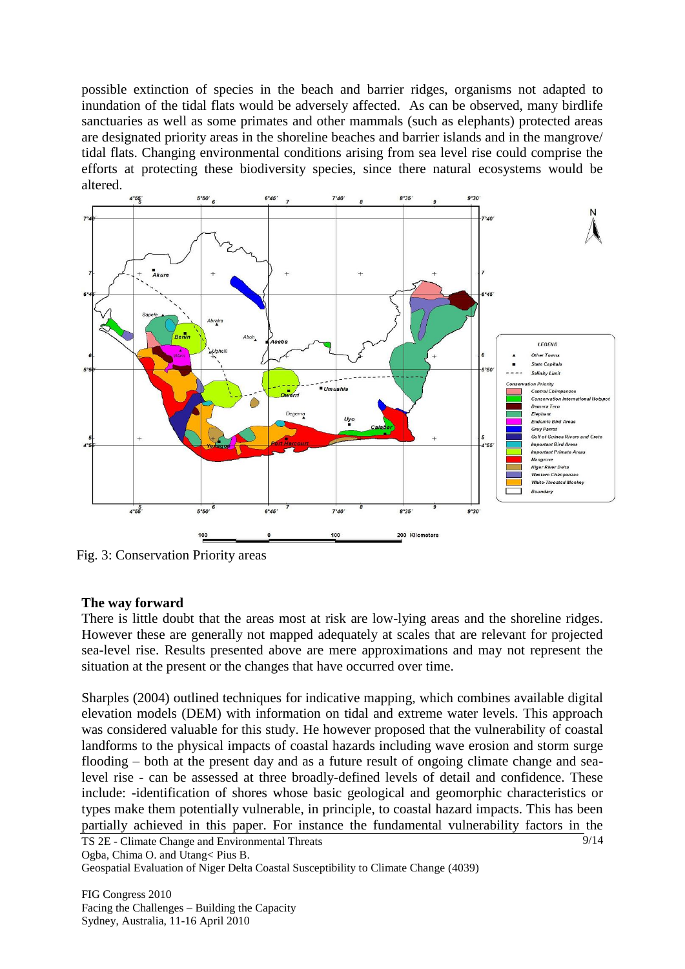possible extinction of species in the beach and barrier ridges, organisms not adapted to inundation of the tidal flats would be adversely affected. As can be observed, many birdlife sanctuaries as well as some primates and other mammals (such as elephants) protected areas are designated priority areas in the shoreline beaches and barrier islands and in the mangrove/ tidal flats. Changing environmental conditions arising from sea level rise could comprise the efforts at protecting these biodiversity species, since there natural ecosystems would be altered.



Fig. 3: Conservation Priority areas

## **The way forward**

There is little doubt that the areas most at risk are low-lying areas and the shoreline ridges. However these are generally not mapped adequately at scales that are relevant for projected sea-level rise. Results presented above are mere approximations and may not represent the situation at the present or the changes that have occurred over time.

Sharples (2004) outlined techniques for indicative mapping, which combines available digital elevation models (DEM) with information on tidal and extreme water levels. This approach was considered valuable for this study. He however proposed that the vulnerability of coastal landforms to the physical impacts of coastal hazards including wave erosion and storm surge flooding – both at the present day and as a future result of ongoing climate change and sealevel rise - can be assessed at three broadly-defined levels of detail and confidence. These include: -identification of shores whose basic geological and geomorphic characteristics or types make them potentially vulnerable, in principle, to coastal hazard impacts. This has been partially achieved in this paper. For instance the fundamental vulnerability factors in the

TS 2E - Climate Change and Environmental Threats Ogba, Chima O. and Utang< Pius B.

Geospatial Evaluation of Niger Delta Coastal Susceptibility to Climate Change (4039)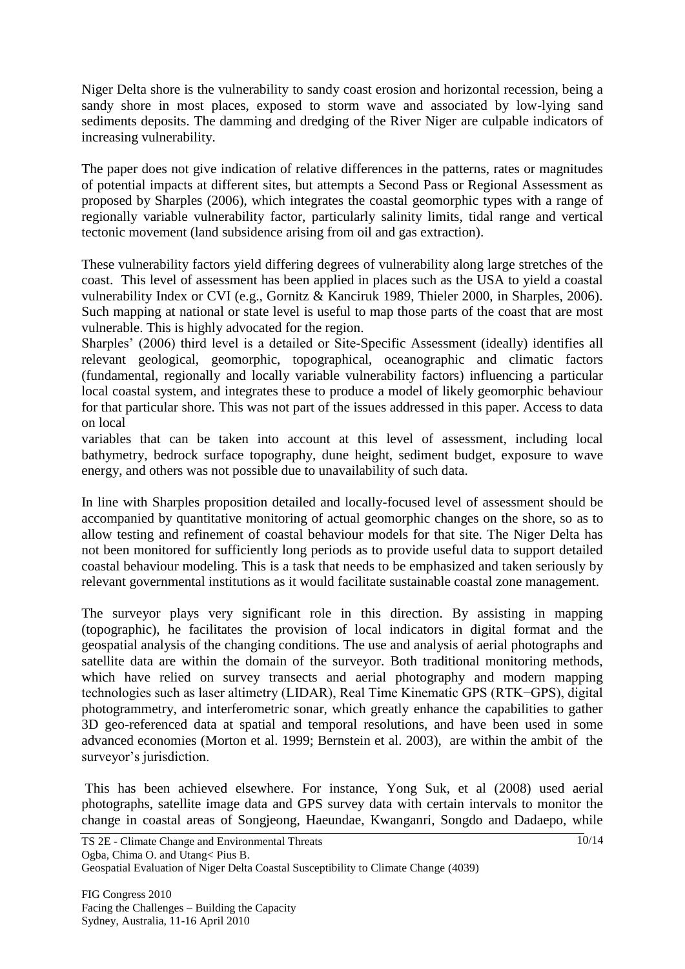Niger Delta shore is the vulnerability to sandy coast erosion and horizontal recession, being a sandy shore in most places, exposed to storm wave and associated by low-lying sand sediments deposits. The damming and dredging of the River Niger are culpable indicators of increasing vulnerability.

The paper does not give indication of relative differences in the patterns, rates or magnitudes of potential impacts at different sites, but attempts a Second Pass or Regional Assessment as proposed by Sharples (2006), which integrates the coastal geomorphic types with a range of regionally variable vulnerability factor, particularly salinity limits, tidal range and vertical tectonic movement (land subsidence arising from oil and gas extraction).

These vulnerability factors yield differing degrees of vulnerability along large stretches of the coast. This level of assessment has been applied in places such as the USA to yield a coastal vulnerability Index or CVI (e.g., Gornitz & Kanciruk 1989, Thieler 2000, in Sharples, 2006). Such mapping at national or state level is useful to map those parts of the coast that are most vulnerable. This is highly advocated for the region.

Sharples' (2006) third level is a detailed or Site-Specific Assessment (ideally) identifies all relevant geological, geomorphic, topographical, oceanographic and climatic factors (fundamental, regionally and locally variable vulnerability factors) influencing a particular local coastal system, and integrates these to produce a model of likely geomorphic behaviour for that particular shore. This was not part of the issues addressed in this paper. Access to data on local

variables that can be taken into account at this level of assessment, including local bathymetry, bedrock surface topography, dune height, sediment budget, exposure to wave energy, and others was not possible due to unavailability of such data.

In line with Sharples proposition detailed and locally-focused level of assessment should be accompanied by quantitative monitoring of actual geomorphic changes on the shore, so as to allow testing and refinement of coastal behaviour models for that site. The Niger Delta has not been monitored for sufficiently long periods as to provide useful data to support detailed coastal behaviour modeling. This is a task that needs to be emphasized and taken seriously by relevant governmental institutions as it would facilitate sustainable coastal zone management.

The surveyor plays very significant role in this direction. By assisting in mapping (topographic), he facilitates the provision of local indicators in digital format and the geospatial analysis of the changing conditions. The use and analysis of aerial photographs and satellite data are within the domain of the surveyor. Both traditional monitoring methods, which have relied on survey transects and aerial photography and modern mapping technologies such as laser altimetry (LIDAR), Real Time Kinematic GPS (RTK−GPS), digital photogrammetry, and interferometric sonar, which greatly enhance the capabilities to gather 3D geo-referenced data at spatial and temporal resolutions, and have been used in some advanced economies (Morton et al. 1999; Bernstein et al. 2003), are within the ambit of the surveyor's jurisdiction.

This has been achieved elsewhere. For instance, Yong Suk, et al (2008) used aerial photographs, satellite image data and GPS survey data with certain intervals to monitor the change in coastal areas of Songjeong, Haeundae, Kwanganri, Songdo and Dadaepo, while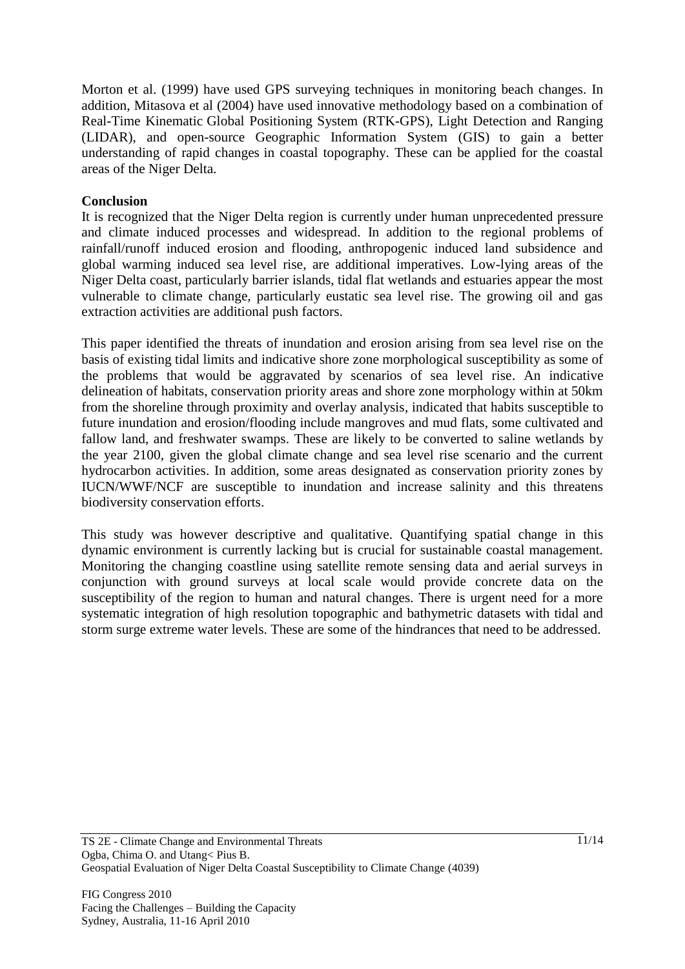Morton et al. (1999) have used GPS surveying techniques in monitoring beach changes. In addition, Mitasova et al (2004) have used innovative methodology based on a combination of Real-Time Kinematic Global Positioning System (RTK-GPS), Light Detection and Ranging (LIDAR), and open-source Geographic Information System (GIS) to gain a better understanding of rapid changes in coastal topography. These can be applied for the coastal areas of the Niger Delta.

## **Conclusion**

It is recognized that the Niger Delta region is currently under human unprecedented pressure and climate induced processes and widespread. In addition to the regional problems of rainfall/runoff induced erosion and flooding, anthropogenic induced land subsidence and global warming induced sea level rise, are additional imperatives. Low-lying areas of the Niger Delta coast, particularly barrier islands, tidal flat wetlands and estuaries appear the most vulnerable to climate change, particularly eustatic sea level rise. The growing oil and gas extraction activities are additional push factors.

This paper identified the threats of inundation and erosion arising from sea level rise on the basis of existing tidal limits and indicative shore zone morphological susceptibility as some of the problems that would be aggravated by scenarios of sea level rise. An indicative delineation of habitats, conservation priority areas and shore zone morphology within at 50km from the shoreline through proximity and overlay analysis, indicated that habits susceptible to future inundation and erosion/flooding include mangroves and mud flats, some cultivated and fallow land, and freshwater swamps. These are likely to be converted to saline wetlands by the year 2100, given the global climate change and sea level rise scenario and the current hydrocarbon activities. In addition, some areas designated as conservation priority zones by IUCN/WWF/NCF are susceptible to inundation and increase salinity and this threatens biodiversity conservation efforts.

This study was however descriptive and qualitative. Quantifying spatial change in this dynamic environment is currently lacking but is crucial for sustainable coastal management. Monitoring the changing coastline using satellite remote sensing data and aerial surveys in conjunction with ground surveys at local scale would provide concrete data on the susceptibility of the region to human and natural changes. There is urgent need for a more systematic integration of high resolution topographic and bathymetric datasets with tidal and storm surge extreme water levels. These are some of the hindrances that need to be addressed.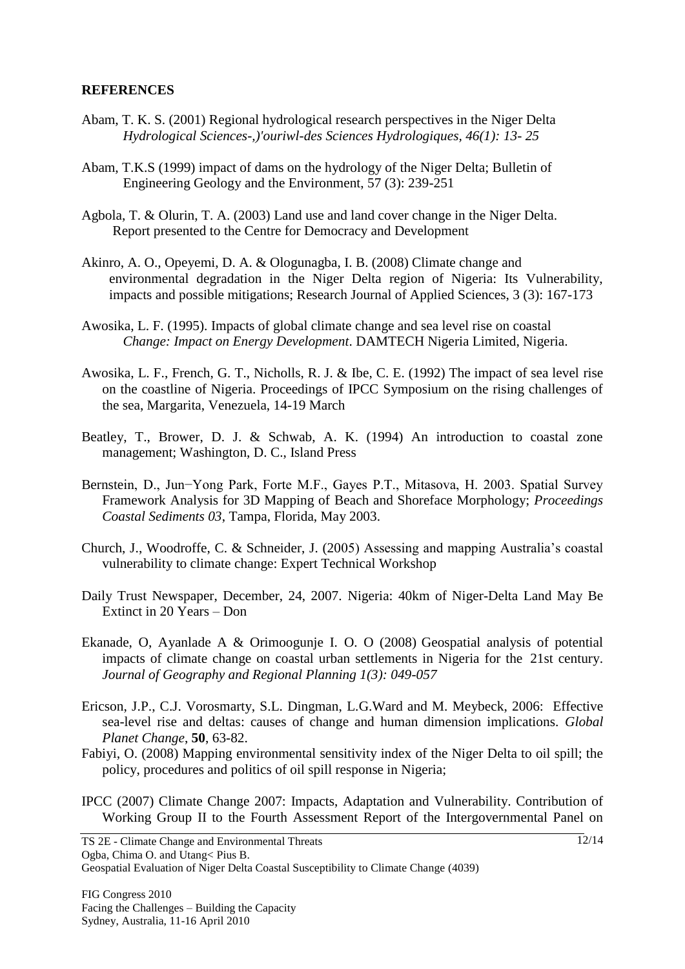## **REFERENCES**

- Abam, T. K. S. (2001) Regional hydrological research perspectives in the Niger Delta *Hydrological Sciences-,)'ouriwl-des Sciences Hydrologiques, 46(1): 13- 25*
- Abam, T.K.S (1999) impact of dams on the hydrology of the Niger Delta; Bulletin of Engineering Geology and the Environment, 57 (3): 239-251
- Agbola, T. & Olurin, T. A. (2003) Land use and land cover change in the Niger Delta. Report presented to the Centre for Democracy and Development
- Akinro, A. O., Opeyemi, D. A. & Ologunagba, I. B. (2008) Climate change and environmental degradation in the Niger Delta region of Nigeria: Its Vulnerability, impacts and possible mitigations; Research Journal of Applied Sciences, 3 (3): 167-173
- Awosika, L. F. (1995). Impacts of global climate change and sea level rise on coastal *Change: Impact on Energy Development*. DAMTECH Nigeria Limited, Nigeria.
- Awosika, L. F., French, G. T., Nicholls, R. J. & Ibe, C. E. (1992) The impact of sea level rise on the coastline of Nigeria. Proceedings of IPCC Symposium on the rising challenges of the sea, Margarita, Venezuela, 14-19 March
- Beatley, T., Brower, D. J. & Schwab, A. K. (1994) An introduction to coastal zone management; Washington, D. C., Island Press
- Bernstein, D., Jun−Yong Park, Forte M.F., Gayes P.T., Mitasova, H. 2003. Spatial Survey Framework Analysis for 3D Mapping of Beach and Shoreface Morphology; *Proceedings Coastal Sediments 03*, Tampa, Florida, May 2003.
- Church, J., Woodroffe, C. & Schneider, J. (2005) Assessing and mapping Australia's coastal vulnerability to climate change: Expert Technical Workshop
- Daily Trust Newspaper, December, 24, 2007. Nigeria: 40km of Niger-Delta Land May Be Extinct in 20 Years – Don
- Ekanade, O, Ayanlade A & Orimoogunje I. O. O (2008) Geospatial analysis of potential impacts of climate change on coastal urban settlements in Nigeria for the 21st century. *Journal of Geography and Regional Planning 1(3): 049-057*
- Ericson, J.P., C.J. Vorosmarty, S.L. Dingman, L.G.Ward and M. Meybeck, 2006: Effective sea-level rise and deltas: causes of change and human dimension implications. *Global Planet Change*, **50**, 63-82.
- Fabiyi, O. (2008) Mapping environmental sensitivity index of the Niger Delta to oil spill; the policy, procedures and politics of oil spill response in Nigeria;
- IPCC (2007) Climate Change 2007: Impacts, Adaptation and Vulnerability. Contribution of Working Group II to the Fourth Assessment Report of the Intergovernmental Panel on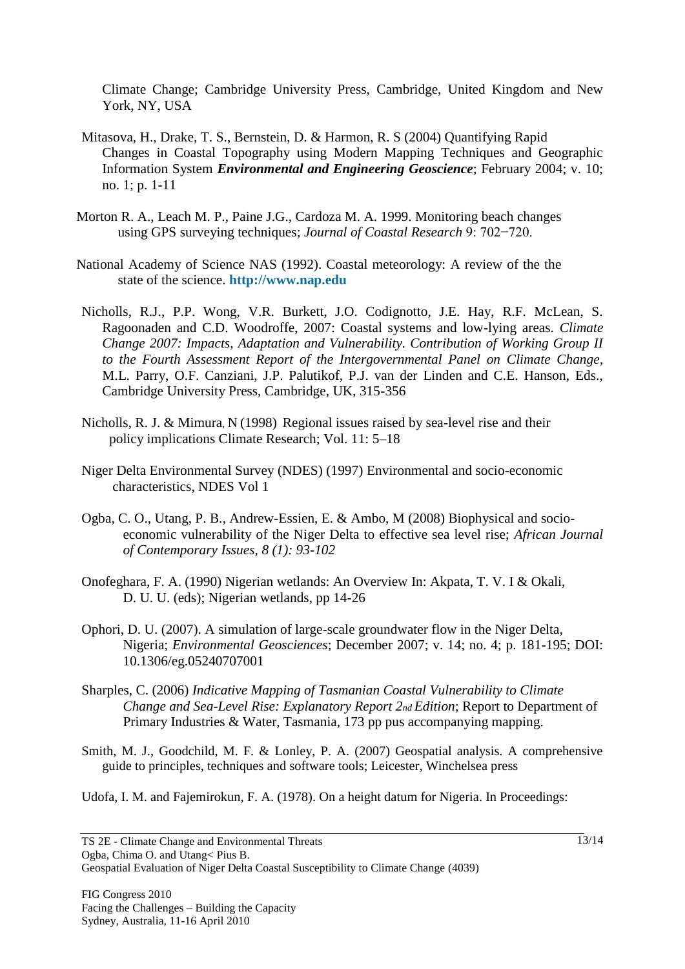Climate Change; Cambridge University Press, Cambridge, United Kingdom and New York, NY, USA

- Mitasova, H., Drake, T. S., Bernstein, D. & Harmon, R. S (2004) Quantifying Rapid Changes in Coastal Topography using Modern Mapping Techniques and Geographic Information System *Environmental and Engineering Geoscience*; February 2004; v. 10; no. 1; p. 1-11
- Morton R. A., Leach M. P., Paine J.G., Cardoza M. A. 1999. Monitoring beach changes using GPS surveying techniques; *Journal of Coastal Research* 9: 702−720.
- National Academy of Science NAS (1992). Coastal meteorology: A review of the the state of the science. **[http://www.nap.edu](http://www.nap.edu/)**
- Nicholls, R.J., P.P. Wong, V.R. Burkett, J.O. Codignotto, J.E. Hay, R.F. McLean, S. Ragoonaden and C.D. Woodroffe, 2007: Coastal systems and low-lying areas. *Climate Change 2007: Impacts, Adaptation and Vulnerability. Contribution of Working Group II to the Fourth Assessment Report of the Intergovernmental Panel on Climate Change*, M.L. Parry, O.F. Canziani, J.P. Palutikof, P.J. van der Linden and C.E. Hanson, Eds., Cambridge University Press, Cambridge, UK, 315-356
- Nicholls, R. J. & Mimura, N (1998) Regional issues raised by sea-level rise and their policy implications Climate Research; Vol. 11: 5–18
- Niger Delta Environmental Survey (NDES) (1997) Environmental and socio-economic characteristics, NDES Vol 1
- Ogba, C. O., Utang, P. B., Andrew-Essien, E. & Ambo, M (2008) Biophysical and socioeconomic vulnerability of the Niger Delta to effective sea level rise; *African Journal of Contemporary Issues, 8 (1): 93-102*
- Onofeghara, F. A. (1990) Nigerian wetlands: An Overview In: Akpata, T. V. I & Okali, D. U. U. (eds); Nigerian wetlands, pp 14-26
- Ophori, D. U. (2007). A simulation of large-scale groundwater flow in the Niger Delta, Nigeria; *Environmental Geosciences*; December 2007; v. 14; no. 4; p. 181-195; DOI: 10.1306/eg.05240707001
- Sharples, C. (2006) *Indicative Mapping of Tasmanian Coastal Vulnerability to Climate Change and Sea-Level Rise: Explanatory Report 2nd Edition*; Report to Department of Primary Industries & Water, Tasmania, 173 pp pus accompanying mapping.
- Smith, M. J., Goodchild, M. F. & Lonley, P. A. (2007) Geospatial analysis. A comprehensive guide to principles, techniques and software tools; Leicester, Winchelsea press
- Udofa, I. M. and Fajemirokun, F. A. (1978). On a height datum for Nigeria. In Proceedings: